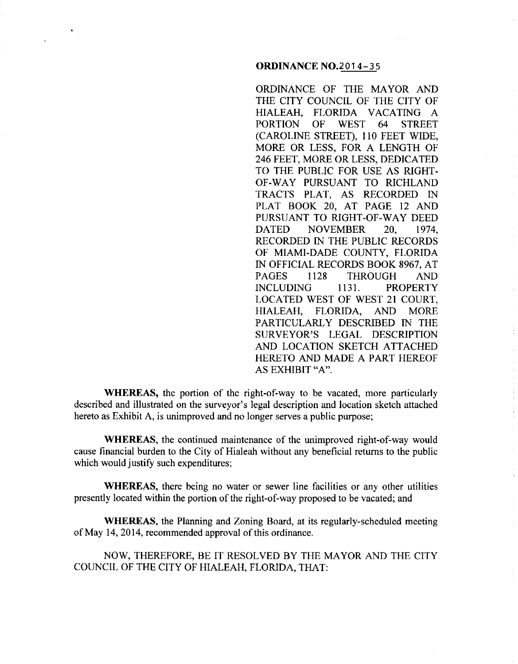## **ORDINANCE** N0.2014-35

ORDINANCE OF THE MAYOR AND THE CITY COUNCIL OF THE CITY OF HIALEAH, FLORIDA VACATING A PORTION OF WEST 64 STREET (CAROLINE STREET), 110 FEET WIDE, MORE OR LESS, FOR A LENGTH OF 246 FEET, MORE OR LESS, DEDICATED TO THE PUBLIC FOR USE AS RIGHT-OF-WAY PURSUANT TO RICHLAND TRACTS PLAT, AS RECORDED IN PLAT BOOK 20, AT PAGE 12 AND PURSUANT TO RIGHT-OF-WAY DEED DATED NOVEMBER 20, 1974, RECORDED IN THE PUBLIC RECORDS OF MIAMI-DADE COUNTY, FLORIDA IN OFFICIAL RECORDS BOOK 8967, AT PAGES 1128 THROUGH AND INCLUDING 1131. PROPERTY LOCATED WEST OF WEST 21 COURT, HIALEAH, FLORIDA, AND MORE PARTICULARLY DESCRIBED IN THE SURVEYOR'S LEGAL DESCRIPTION AND LOCATION SKETCH ATTACHED HERETO AND MADE A PART HEREOF AS EXHIBIT "A".

**WHEREAS,** the portion of the right-of-way to be vacated, more particularly described and illustrated on the surveyor's legal description and location sketch attached hereto as Exhibit A, is unimproved and no longer serves a public purpose;

**WHEREAS,** the continued maintenance of the unimproved right-of-way would cause financial burden to the City of Hialeah without any beneficial returns to the public which would justify such expenditures;

**WHEREAS,** there being no water or sewer line facilities or any other utilities presently located within the portion of the right-of-way proposed to be vacated; and

**WHEREAS,** the Planning and Zoning Board, at its regularly-scheduled meeting of May 14,2014, recommended approval of this ordinance.

NOW, THEREFORE, BE IT RESOLVED BY THE MAYOR AND THE CITY COUNCIL OF THE CITY OF HIALEAH, FLORIDA, THAT: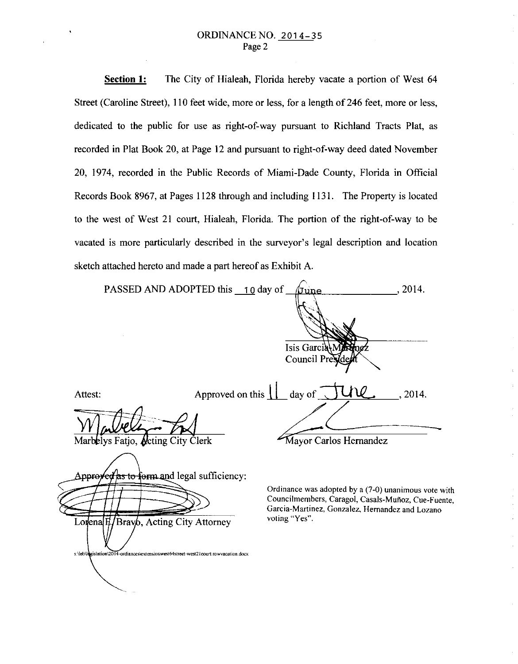## ORDINANCE NO. 2014-35 Page 2

**Section 1:**  The City of Hialeah, Florida hereby vacate a portion of West 64 Street (Caroline Street), 110 feet wide, more or less, for a length of 246 feet, more or less, dedicated to the public for use as right-of-way pursuant to Richland Tracts Plat, as recorded in Plat Book 20, at Page 12 and pursuant to right-of-way deed dated November 20, 1974, recorded in the Public Records of Miami-Dade County, Florida in Official Records Book 8967, at Pages 1128 through and including 1131. The Property is located to the west of West 21 court, Hialeah, Florida. The portion of the right-of-way to be vacated is more particularly described in the surveyor's legal description and location sketch attached hereto and made a part hereof as Exhibit A.

|         | PASSED AND ADOPTED this 10 day of<br><u>/June</u>           | , 2014. |
|---------|-------------------------------------------------------------|---------|
|         |                                                             |         |
|         | Isis Garcia Martingz<br>Council President                   |         |
| Attest: | Approved on this $\prod$ day of JU\Q                        | , 2014. |
|         | Marbelys Fatjo, Acting City Clerk<br>Mayor Carlos Hernandez |         |
|         |                                                             |         |

as to form and legal sufficiency: Approreed

Brav<sub>b</sub>, Acting City Attorney  $L$ orlenal $H$ islation\2014-ordiances\extensionwest64street-west21court.rowvacation.docx s:\leb\

Ordinance was adopted by a (7-0) unanimous vote with Councilmembers, Caragol, Casals-Muñoz, Cue-Fuente, **Garcia-Martinez, Gonzalez, Hernandez and Lozano voting "Yes".**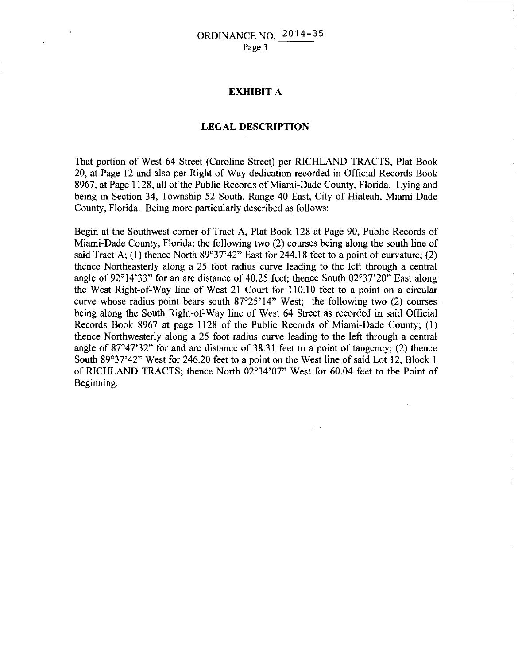## **EXHIBIT A**

## **LEGAL DESCRIPTION**

That portion of West 64 Street (Caroline Street) per RICHLAND TRACTS, Plat Book 20, at Page 12 and also per Right-of-Way dedication recorded in Official Records Book 8967, at Page 1128, all of the Public Records of Miami-Dade County, Florida. Lying and being in Section 34, Township 52 South, Range 40 East, City of Hialeah, Miami-Dade County, Florida. Being more particularly described as follows:

Begin at the Southwest comer of Tract A, Plat Book 128 at Page 90, Public Records of Miami-Dade County, Florida; the following two (2) courses being along the south line of said Tract A; (1) thence North  $89^{\circ}37'42''$  East for 244.18 feet to a point of curvature; (2) thence Northeasterly along a 25 foot radius curve leading to the left through a central angle of 92°14'33" for an arc distance of 40.25 feet; thence South 02°37'20" East along the West Right-of-Way line of West 21 Court for 110.10 feet to a point on a circular curve whose radius point bears south 87°25'14" West; the following two (2) courses being along the South Right -of-Way line of West 64 Street as recorded in said Official Records Book 8967 at page 1128 of the Public Records of Miami-Dade County; (I) thence Northwesterly along a 25 foot radius curve leading to the left through a central angle of 87°47'32" for and arc distance of 38.31 feet to a point of tangency; (2) thence South 89°37'42" West for 246.20 feet to a point on the West line of said Lot 12, Block I of RICHLAND TRACTS; thence North 02°34'07" West for 60.04 feet to the Point of Beginning.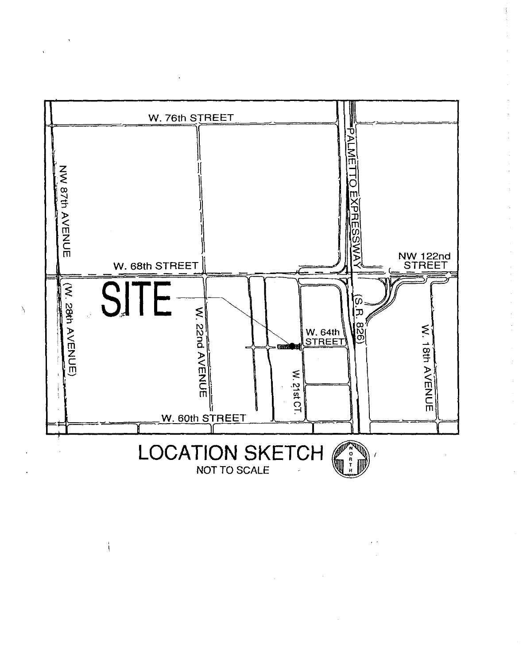